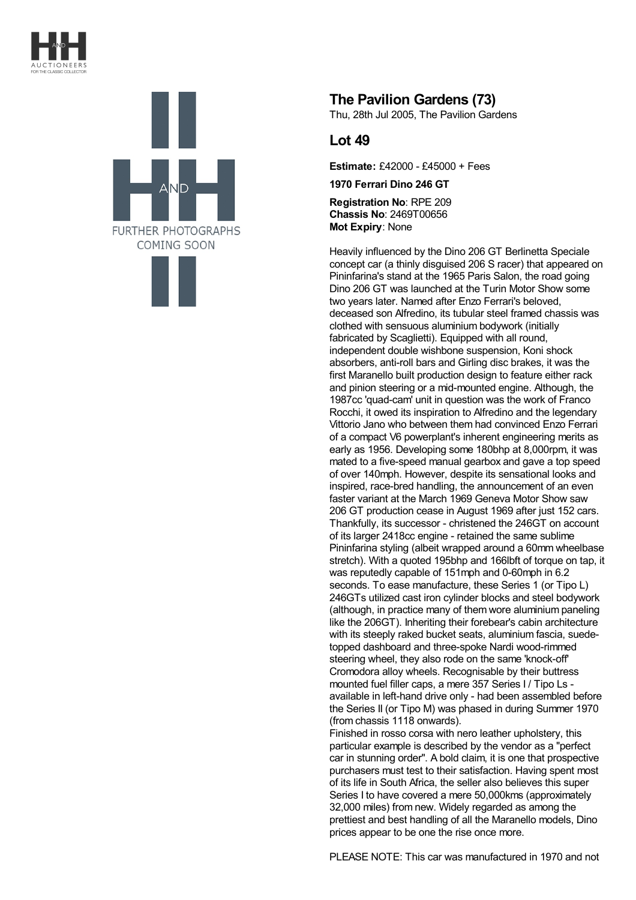



## **The Pavilion Gardens (73)**

Thu, 28th Jul 2005, The Pavilion Gardens

## **Lot 49**

**Estimate:** £42000 - £45000 + Fees

**1970 Ferrari Dino 246 GT**

**Registration No**: RPE 209 **Chassis No**: 2469T00656 **Mot Expiry**: None

Heavily influenced by the Dino 206 GT Berlinetta Speciale concept car (a thinly disguised 206 S racer) that appeared on Pininfarina's stand at the 1965 Paris Salon, the road going Dino 206 GT was launched at the Turin Motor Show some two years later. Named after Enzo Ferrari's beloved, deceased son Alfredino, its tubular steel framed chassis was clothed with sensuous aluminium bodywork (initially fabricated by Scaglietti). Equipped with all round, independent double wishbone suspension, Koni shock absorbers, anti-roll bars and Girling disc brakes, it was the first Maranello built production design to feature either rack and pinion steering or a mid-mounted engine. Although, the 1987cc 'quad-cam' unit in question was the work of Franco Rocchi, it owed its inspiration to Alfredino and the legendary Vittorio Jano who between them had convinced Enzo Ferrari of a compact V6 powerplant's inherent engineering merits as early as 1956. Developing some 180bhp at 8,000rpm, it was mated to a five-speed manual gearbox and gave a top speed of over 140mph. However, despite its sensational looks and inspired, race-bred handling, the announcement of an even faster variant at the March 1969 Geneva Motor Show saw 206 GT production cease in August 1969 after just 152 cars. Thankfully, its successor - christened the 246GT on account of its larger 2418cc engine - retained the same sublime Pininfarina styling (albeit wrapped around a 60mm wheelbase stretch). With a quoted 195bhp and 166lbft of torque on tap, it was reputedly capable of 151mph and 0-60mph in 6.2 seconds. To ease manufacture, these Series 1 (or Tipo L) 246GTs utilized cast iron cylinder blocks and steel bodywork (although, in practice many of them wore aluminium paneling like the 206GT). Inheriting their forebear's cabin architecture with its steeply raked bucket seats, aluminium fascia, suedetopped dashboard and three-spoke Nardi wood-rimmed steering wheel, they also rode on the same 'knock-off' Cromodora alloy wheels. Recognisable by their buttress mounted fuel filler caps, a mere 357 Series I / Tipo Ls available in left-hand drive only - had been assembled before the Series II (or Tipo M) was phased in during Summer 1970 (from chassis 1118 onwards).

Finished in rosso corsa with nero leather upholstery, this particular example is described by the vendor as a "perfect car in stunning order". A bold claim, it is one that prospective purchasers must test to their satisfaction. Having spent most of its life in South Africa, the seller also believes this super Series I to have covered a mere 50,000kms (approximately 32,000 miles) from new. Widely regarded as among the prettiest and best handling of all the Maranello models, Dino prices appear to be one the rise once more.

PLEASE NOTE: This car was manufactured in 1970 and not